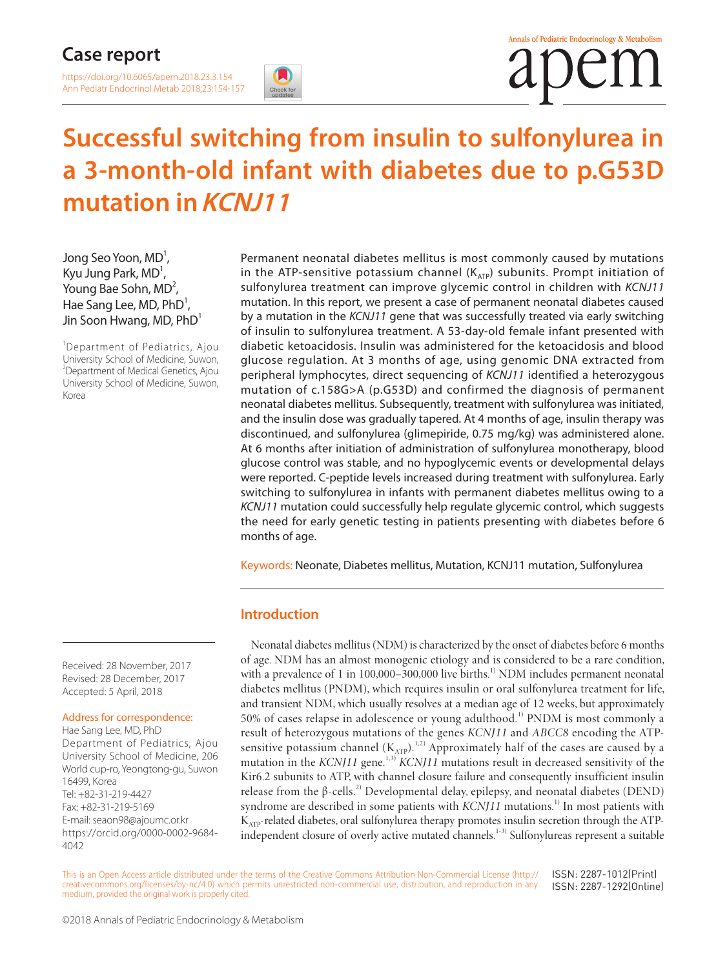[https://doi.org/10.6065/apem.2018.23.3.154](https://doi.org/10.6065/apem.2018.23.2.103) Ann Pediatr Endocrinol Metab 2018;23:154-157



# **Successful switching from insulin to sulfonylurea in a 3-month-old infant with diabetes due to p.G53D mutation in KCNJ11**

Jong Seo Yoon, MD $^1$ , Kyu Jung Park,  $MD<sup>1</sup>$ , Young Bae Sohn,  $MD<sup>2</sup>$ , Hae Sang Lee, MD,  $PhD^1$ , Jin Soon Hwang, MD, PhD<sup>1</sup>

<sup>1</sup>Department of Pediatrics, Ajou University School of Medicine, Suwon, <sup>2</sup>Department of Medical Genetics, Ajou University School of Medicine, Suwon, Korea

Permanent neonatal diabetes mellitus is most commonly caused by mutations in the ATP-sensitive potassium channel ( $K_{ATP}$ ) subunits. Prompt initiation of sulfonylurea treatment can improve glycemic control in children with *KCNJ11* mutation. In this report, we present a case of permanent neonatal diabetes caused by a mutation in the *KCNJ11* gene that was successfully treated via early switching of insulin to sulfonylurea treatment. A 53-day-old female infant presented with diabetic ketoacidosis. Insulin was administered for the ketoacidosis and blood glucose regulation. At 3 months of age, using genomic DNA extracted from peripheral lymphocytes, direct sequencing of *KCNJ11* identified a heterozygous mutation of c.158G>A (p.G53D) and confirmed the diagnosis of permanent neonatal diabetes mellitus. Subsequently, treatment with sulfonylurea was initiated, and the insulin dose was gradually tapered. At 4 months of age, insulin therapy was discontinued, and sulfonylurea (glimepiride, 0.75 mg/kg) was administered alone. At 6 months after initiation of administration of sulfonylurea monotherapy, blood glucose control was stable, and no hypoglycemic events or developmental delays were reported. C-peptide levels increased during treatment with sulfonylurea. Early switching to sulfonylurea in infants with permanent diabetes mellitus owing to a *KCNJ11* mutation could successfully help regulate glycemic control, which suggests the need for early genetic testing in patients presenting with diabetes before 6 months of age.

Keywords: Neonate, Diabetes mellitus, Mutation, KCNJ11 mutation, Sulfonylurea

### **Introduction**

Neonatal diabetes mellitus (NDM) is characterized by the onset of diabetes before 6 months of age. NDM has an almost monogenic etiology and is considered to be a rare condition, with a prevalence of 1 in  $100,000-300,000$  live births.<sup>1)</sup> NDM includes permanent neonatal diabetes mellitus (PNDM), which requires insulin or oral sulfonylurea treatment for life, and transient NDM, which usually resolves at a median age of 12 weeks, but approximately 50% of cases relapse in adolescence or young adulthood.1) PNDM is most commonly a result of heterozygous mutations of the genes *KCNJ11* and *ABCC8* encoding the ATPsensitive potassium channel  $(K_{ATP})$ .<sup>1,2)</sup> Approximately half of the cases are caused by a mutation in the *KCNJ11* gene.<sup>1,3)</sup> *KCNJ11* mutations result in decreased sensitivity of the Kir6.2 subunits to ATP, with channel closure failure and consequently insufficient insulin release from the β-cells.<sup>2)</sup> Developmental delay, epilepsy, and neonatal diabetes (DEND) syndrome are described in some patients with *KCNJ11* mutations.<sup>1)</sup> In most patients with K<sub>ATP</sub>-related diabetes, oral sulfonylurea therapy promotes insulin secretion through the ATPindependent closure of overly active mutated channels.1-3) Sulfonylureas represent a suitable

Received: 28 November, 2017 Revised: 28 December, 2017 Accepted: 5 April, 2018

#### Address for correspondence:

Hae Sang Lee, MD, PhD Department of Pediatrics, Ajou University School of Medicine, 206 World cup-ro, Yeongtong-gu, Suwon 16499, Korea Tel: +82-31-219-4427 Fax: +82-31-219-5169 E-mail: seaon98@ajoumc.or.kr https://orcid.org/0000-0002-9684- 4042

This is an Open Access article distributed under the terms of the Creative Commons Attribution Non-Commercial License (http:// creativecommons.org/licenses/by-nc/4.0) which permits unrestricted non-commercial use, distribution, and reproduction in any medium, provided the original work is properly cited. ISSN: 2287-1012(Print) ISSN: 2287-1292(Online)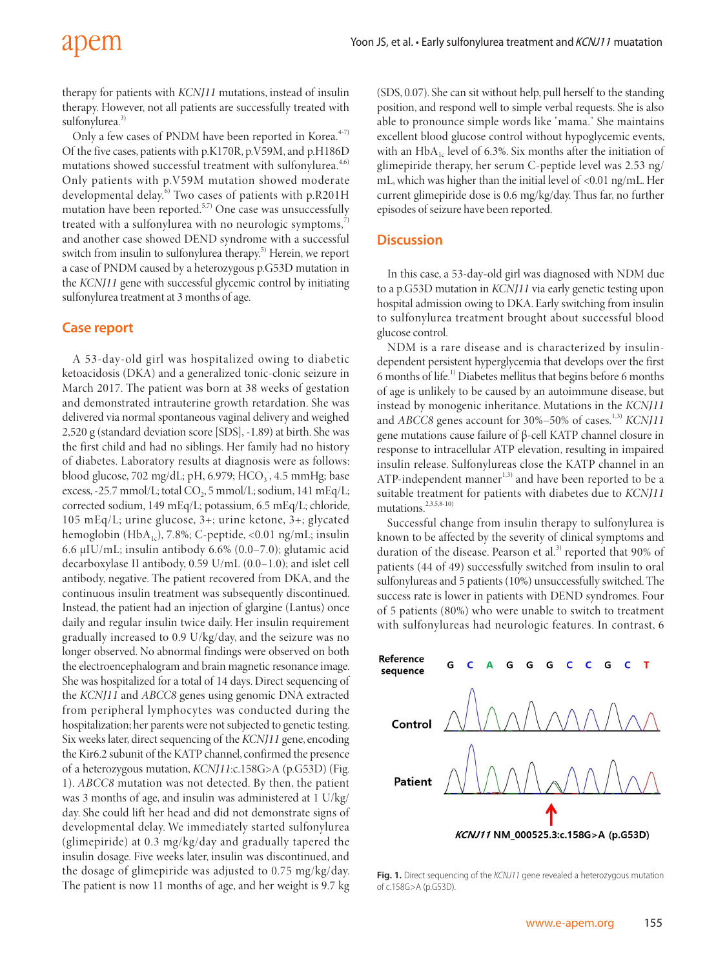therapy for patients with *KCNJ11* mutations, instead of insulin therapy. However, not all patients are successfully treated with sulfonylurea.<sup>3)</sup>

Only a few cases of PNDM have been reported in Korea.<sup>4-7)</sup> Of the five cases, patients with p.K170R, p.V59M, and p.H186D mutations showed successful treatment with sulfonylurea.<sup>4,6)</sup> Only patients with p.V59M mutation showed moderate developmental delay.<sup>6)</sup> Two cases of patients with p.R201H mutation have been reported. $5,7$  One case was unsuccessfully treated with a sulfonylurea with no neurologic symptoms,<sup>7</sup> and another case showed DEND syndrome with a successful switch from insulin to sulfonylurea therapy.<sup>5)</sup> Herein, we report a case of PNDM caused by a heterozygous p.G53D mutation in the *KCNJ11* gene with successful glycemic control by initiating sulfonylurea treatment at 3 months of age.

### **Case report**

A 53-day-old girl was hospitalized owing to diabetic ketoacidosis (DKA) and a generalized tonic-clonic seizure in March 2017. The patient was born at 38 weeks of gestation and demonstrated intrauterine growth retardation. She was delivered via normal spontaneous vaginal delivery and weighed 2,520 g (standard deviation score [SDS], -1.89) at birth. She was the first child and had no siblings. Her family had no history of diabetes. Laboratory results at diagnosis were as follows: blood glucose, 702 mg/dL; pH, 6.979; HCO3, 4.5 mmHg; base excess, -25.7 mmol/L; total  $CO<sub>2</sub>$ , 5 mmol/L; sodium, 141 mEq/L; corrected sodium, 149 mEq/L; potassium, 6.5 mEq/L; chloride, 105 mEq/L; urine glucose, 3+; urine ketone, 3+; glycated hemoglobin (HbA<sub>1c</sub>), 7.8%; C-peptide, <0.01 ng/mL; insulin 6.6 μIU/mL; insulin antibody 6.6% (0.0–7.0); glutamic acid decarboxylase II antibody, 0.59 U/mL (0.0–1.0); and islet cell antibody, negative. The patient recovered from DKA, and the continuous insulin treatment was subsequently discontinued. Instead, the patient had an injection of glargine (Lantus) once daily and regular insulin twice daily. Her insulin requirement gradually increased to 0.9 U/kg/day, and the seizure was no longer observed. No abnormal findings were observed on both the electroencephalogram and brain magnetic resonance image. She was hospitalized for a total of 14 days. Direct sequencing of the *KCNJ11* and *ABCC8* genes using genomic DNA extracted from peripheral lymphocytes was conducted during the hospitalization; her parents were not subjected to genetic testing. Six weeks later, direct sequencing of the *KCNJ11* gene, encoding the Kir6.2 subunit of the KATP channel, confirmed the presence of a heterozygous mutation, *KCNJ11*:c.158G>A (p.G53D) (Fig. 1). *ABCC8* mutation was not detected. By then, the patient was 3 months of age, and insulin was administered at 1 U/kg/ day. She could lift her head and did not demonstrate signs of developmental delay. We immediately started sulfonylurea (glimepiride) at 0.3 mg/kg/day and gradually tapered the insulin dosage. Five weeks later, insulin was discontinued, and the dosage of glimepiride was adjusted to 0.75 mg/kg/day. The patient is now 11 months of age, and her weight is 9.7 kg

(SDS, 0.07). She can sit without help, pull herself to the standing position, and respond well to simple verbal requests. She is also able to pronounce simple words like "mama." She maintains excellent blood glucose control without hypoglycemic events, with an  $HbA_{1c}$  level of 6.3%. Six months after the initiation of glimepiride therapy, her serum C-peptide level was 2.53 ng/ mL, which was higher than the initial level of <0.01 ng/mL. Her current glimepiride dose is 0.6 mg/kg/day. Thus far, no further episodes of seizure have been reported.

#### **Discussion**

In this case, a 53-day-old girl was diagnosed with NDM due to a p.G53D mutation in *KCNJ11* via early genetic testing upon hospital admission owing to DKA. Early switching from insulin to sulfonylurea treatment brought about successful blood glucose control.

NDM is a rare disease and is characterized by insulindependent persistent hyperglycemia that develops over the first 6 months of life.1) Diabetes mellitus that begins before 6 months of age is unlikely to be caused by an autoimmune disease, but instead by monogenic inheritance. Mutations in the *KCNJ11* and *ABCC8* genes account for 30%–50% of cases.<sup>1,3)</sup> *KCNJ11* gene mutations cause failure of β-cell KATP channel closure in response to intracellular ATP elevation, resulting in impaired insulin release. Sulfonylureas close the KATP channel in an ATP-independent manner $1,3)$  and have been reported to be a suitable treatment for patients with diabetes due to *KCNJ11* mutations.2,3,5,8-10)

Successful change from insulin therapy to sulfonylurea is known to be affected by the severity of clinical symptoms and duration of the disease. Pearson et al.<sup>3)</sup> reported that 90% of patients (44 of 49) successfully switched from insulin to oral sulfonylureas and 5 patients (10%) unsuccessfully switched. The success rate is lower in patients with DEND syndromes. Four of 5 patients (80%) who were unable to switch to treatment with sulfonylureas had neurologic features. In contrast, 6



**Fig. 1.** Direct sequencing of the *KCNJ11* gene revealed a heterozygous mutation of c.158G>A (p.G53D).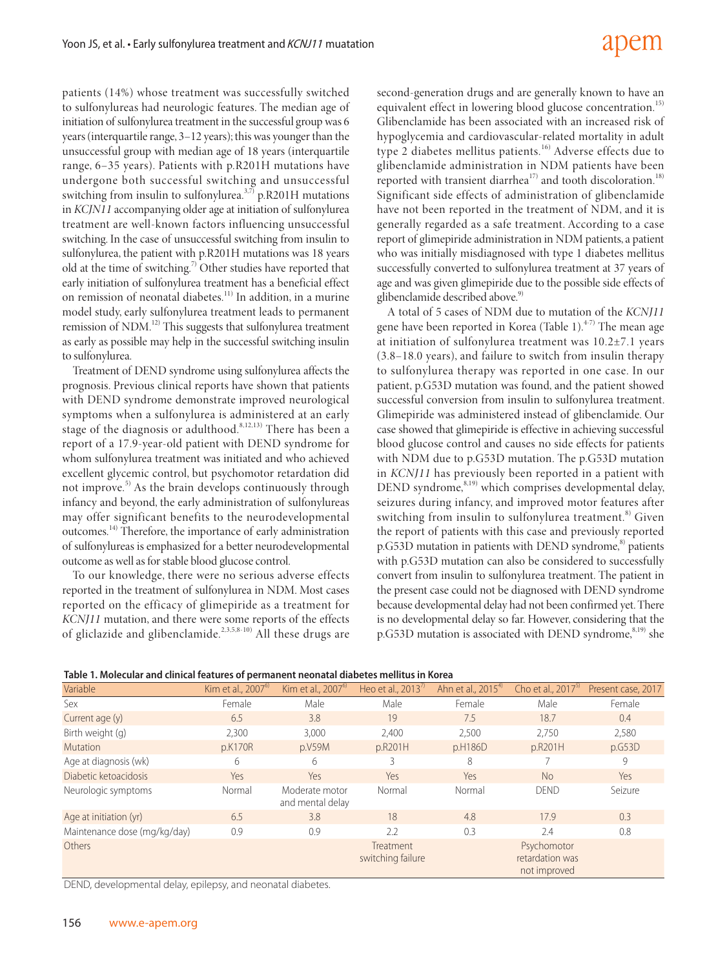# adem

patients (14%) whose treatment was successfully switched to sulfonylureas had neurologic features. The median age of initiation of sulfonylurea treatment in the successful group was 6 years (interquartile range, 3–12 years); this was younger than the unsuccessful group with median age of 18 years (interquartile range, 6–35 years). Patients with p.R201H mutations have undergone both successful switching and unsuccessful switching from insulin to sulfonylurea. $3,7)$  p.R201H mutations in *KCJN11* accompanying older age at initiation of sulfonylurea treatment are well-known factors influencing unsuccessful switching. In the case of unsuccessful switching from insulin to sulfonylurea, the patient with p.R201H mutations was 18 years old at the time of switching.<sup>7)</sup> Other studies have reported that early initiation of sulfonylurea treatment has a beneficial effect on remission of neonatal diabetes.11) In addition, in a murine model study, early sulfonylurea treatment leads to permanent remission of NDM.<sup>12)</sup> This suggests that sulfonylurea treatment as early as possible may help in the successful switching insulin to sulfonylurea.

Treatment of DEND syndrome using sulfonylurea affects the prognosis. Previous clinical reports have shown that patients with DEND syndrome demonstrate improved neurological symptoms when a sulfonylurea is administered at an early stage of the diagnosis or adulthood.<sup>8,12,13)</sup> There has been a report of a 17.9-year-old patient with DEND syndrome for whom sulfonylurea treatment was initiated and who achieved excellent glycemic control, but psychomotor retardation did not improve.<sup>5)</sup> As the brain develops continuously through infancy and beyond, the early administration of sulfonylureas may offer significant benefits to the neurodevelopmental outcomes.14) Therefore, the importance of early administration of sulfonylureas is emphasized for a better neurodevelopmental outcome as well as for stable blood glucose control.

To our knowledge, there were no serious adverse effects reported in the treatment of sulfonylurea in NDM. Most cases reported on the efficacy of glimepiride as a treatment for *KCNJ11* mutation, and there were some reports of the effects of gliclazide and glibenclamide.<sup>2,3,5,8-10)</sup> All these drugs are second-generation drugs and are generally known to have an equivalent effect in lowering blood glucose concentration.<sup>15)</sup> Glibenclamide has been associated with an increased risk of hypoglycemia and cardiovascular-related mortality in adult type 2 diabetes mellitus patients.<sup>16)</sup> Adverse effects due to glibenclamide administration in NDM patients have been reported with transient diarrhea $17$ ) and tooth discoloration.<sup>18)</sup> Significant side effects of administration of glibenclamide have not been reported in the treatment of NDM, and it is generally regarded as a safe treatment. According to a case report of glimepiride administration in NDM patients, a patient who was initially misdiagnosed with type 1 diabetes mellitus successfully converted to sulfonylurea treatment at 37 years of age and was given glimepiride due to the possible side effects of glibenclamide described above.<sup>9)</sup>

A total of 5 cases of NDM due to mutation of the *KCNJ11* gene have been reported in Korea (Table 1). $4-7$ ) The mean age at initiation of sulfonylurea treatment was 10.2±7.1 years (3.8–18.0 years), and failure to switch from insulin therapy to sulfonylurea therapy was reported in one case. In our patient, p.G53D mutation was found, and the patient showed successful conversion from insulin to sulfonylurea treatment. Glimepiride was administered instead of glibenclamide. Our case showed that glimepiride is effective in achieving successful blood glucose control and causes no side effects for patients with NDM due to p.G53D mutation. The p.G53D mutation in *KCNJ11* has previously been reported in a patient with DEND syndrome,<sup>8,19)</sup> which comprises developmental delay, seizures during infancy, and improved motor features after switching from insulin to sulfonylurea treatment.<sup>8)</sup> Given the report of patients with this case and previously reported p.G53D mutation in patients with DEND syndrome,<sup>8)</sup> patients with p.G53D mutation can also be considered to successfully convert from insulin to sulfonylurea treatment. The patient in the present case could not be diagnosed with DEND syndrome because developmental delay had not been confirmed yet. There is no developmental delay so far. However, considering that the p.G53D mutation is associated with DEND syndrome,<sup>8,19)</sup> she

|  | Table 1. Molecular and clinical features of permanent neonatal diabetes mellitus in Korea |
|--|-------------------------------------------------------------------------------------------|
|--|-------------------------------------------------------------------------------------------|

| Variable                     | Kim et al., 2007 <sup>6)</sup> | Kim et al., $2007^{\circ}$         | Heo et al., $2013'$            | Ahn et al., 2015 <sup>4)</sup> | Cho et al., $2017^{5}$                         | Present case, 2017 |
|------------------------------|--------------------------------|------------------------------------|--------------------------------|--------------------------------|------------------------------------------------|--------------------|
| Sex                          | Female                         | Male                               | Male                           | Female                         | Male                                           | Female             |
| Current age (y)              | 6.5                            | 3.8                                | 19                             | 7.5                            | 18.7                                           | 0.4                |
| Birth weight (g)             | 2,300                          | 3,000                              | 2,400                          | 2,500                          | 2,750                                          | 2,580              |
| <b>Mutation</b>              | p.K170R                        | p.V59M                             | p.R201H                        | p.H186D                        | p.R201H                                        | p.G53D             |
| Age at diagnosis (wk)        | 6                              | 6                                  | 3                              | 8                              |                                                | 9                  |
| Diabetic ketoacidosis        | Yes                            | Yes                                | Yes                            | Yes                            | <b>No</b>                                      | Yes                |
| Neurologic symptoms          | Normal                         | Moderate motor<br>and mental delay | Normal                         | Normal                         | <b>DEND</b>                                    | Seizure            |
| Age at initiation (yr)       | 6.5                            | 3.8                                | 18                             | 4.8                            | 17.9                                           | 0.3                |
| Maintenance dose (mg/kg/day) | 0.9                            | 0.9                                | 2.2                            | 0.3                            | 2.4                                            | 0.8                |
| Others                       |                                |                                    | Treatment<br>switching failure |                                | Psychomotor<br>retardation was<br>not improved |                    |

DEND, developmental delay, epilepsy, and neonatal diabetes.